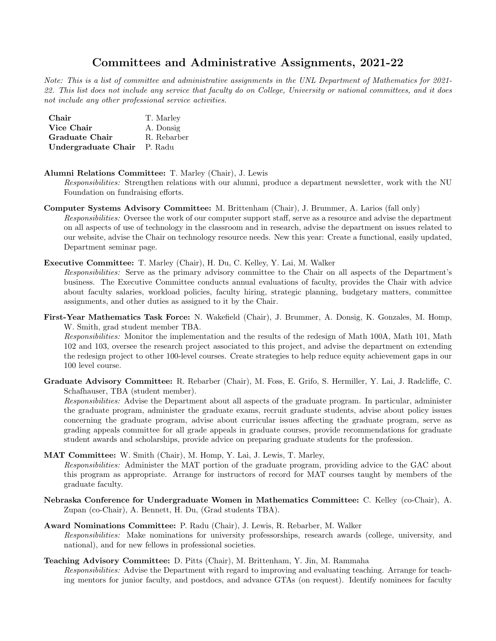## Committees and Administrative Assignments, 2021-22

Note: This is a list of committee and administrative assignments in the UNL Department of Mathematics for 2021- 22. This list does not include any service that faculty do on College, University or national committees, and it does not include any other professional service activities.

| Chair                       | T. Marley   |
|-----------------------------|-------------|
| Vice Chair                  | A. Donsig   |
| Graduate Chair              | R. Rebarber |
| Undergraduate Chair P. Radu |             |

Alumni Relations Committee: T. Marley (Chair), J. Lewis

Responsibilities: Strengthen relations with our alumni, produce a department newsletter, work with the NU Foundation on fundraising efforts.

- Computer Systems Advisory Committee: M. Brittenham (Chair), J. Brummer, A. Larios (fall only) Responsibilities: Oversee the work of our computer support staff, serve as a resource and advise the department on all aspects of use of technology in the classroom and in research, advise the department on issues related to our website, advise the Chair on technology resource needs. New this year: Create a functional, easily updated, Department seminar page.
- Executive Committee: T. Marley (Chair), H. Du, C. Kelley, Y. Lai, M. Walker

Responsibilities: Serve as the primary advisory committee to the Chair on all aspects of the Department's business. The Executive Committee conducts annual evaluations of faculty, provides the Chair with advice about faculty salaries, workload policies, faculty hiring, strategic planning, budgetary matters, committee assignments, and other duties as assigned to it by the Chair.

First-Year Mathematics Task Force: N. Wakefield (Chair), J. Brummer, A. Donsig, K. Gonzales, M. Homp, W. Smith, grad student member TBA.

Responsibilities: Monitor the implementation and the results of the redesign of Math 100A, Math 101, Math 102 and 103, oversee the research project associated to this project, and advise the department on extending the redesign project to other 100-level courses. Create strategies to help reduce equity achievement gaps in our 100 level course.

Graduate Advisory Committee: R. Rebarber (Chair), M. Foss, E. Grifo, S. Hermiller, Y. Lai, J. Radcliffe, C. Schafhauser, TBA (student member).

Responsibilities: Advise the Department about all aspects of the graduate program. In particular, administer the graduate program, administer the graduate exams, recruit graduate students, advise about policy issues concerning the graduate program, advise about curricular issues affecting the graduate program, serve as grading appeals committee for all grade appeals in graduate courses, provide recommendations for graduate student awards and scholarships, provide advice on preparing graduate students for the profession.

- MAT Committee: W. Smith (Chair), M. Homp, Y. Lai, J. Lewis, T. Marley, Responsibilities: Administer the MAT portion of the graduate program, providing advice to the GAC about this program as appropriate. Arrange for instructors of record for MAT courses taught by members of the graduate faculty.
- Nebraska Conference for Undergraduate Women in Mathematics Committee: C. Kelley (co-Chair), A. Zupan (co-Chair), A. Bennett, H. Du, (Grad students TBA).
- Award Nominations Committee: P. Radu (Chair), J. Lewis, R. Rebarber, M. Walker Responsibilities: Make nominations for university professorships, research awards (college, university, and national), and for new fellows in professional societies.
- Teaching Advisory Committee: D. Pitts (Chair), M. Brittenham, Y. Jin, M. Rammaha Responsibilities: Advise the Department with regard to improving and evaluating teaching. Arrange for teaching mentors for junior faculty, and postdocs, and advance GTAs (on request). Identify nominees for faculty